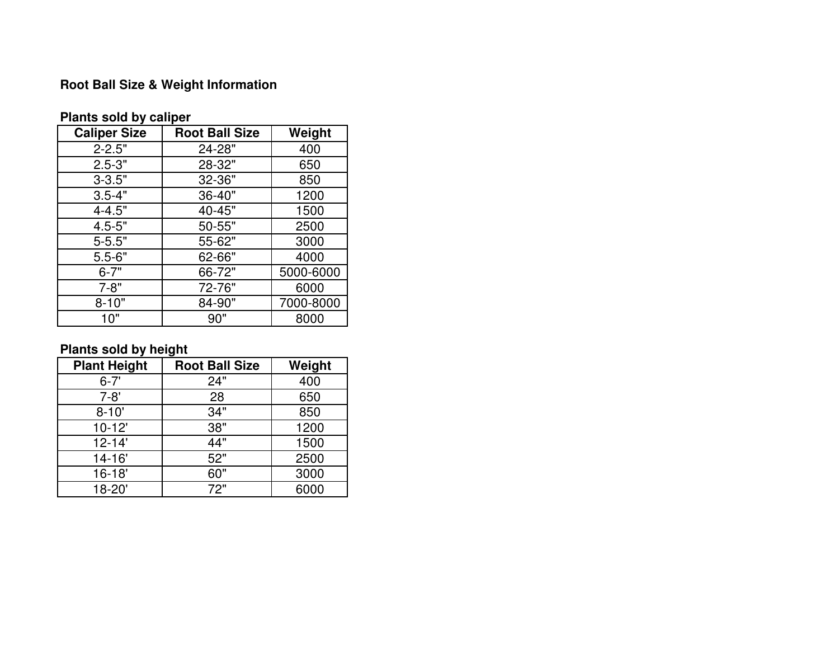## **Root Ball Size & Weight Information**

| <b>Caliper Size</b> | <b>Root Ball Size</b> | Weight    |  |  |  |  |
|---------------------|-----------------------|-----------|--|--|--|--|
| $2 - 2.5"$          | 24-28"                | 400       |  |  |  |  |
| $2.5 - 3"$          | 28-32"                | 650       |  |  |  |  |
| $3 - 3.5"$          | 32-36"                | 850       |  |  |  |  |
| $3.5 - 4"$          | 36-40"                | 1200      |  |  |  |  |
| $4 - 4.5"$          | 40-45"                | 1500      |  |  |  |  |
| $4.5 - 5"$          | 50-55"                | 2500      |  |  |  |  |
| $5 - 5.5"$          | 55-62"                | 3000      |  |  |  |  |
| $5.5 - 6"$          | 62-66"                | 4000      |  |  |  |  |
| $6 - 7"$            | 66-72"                | 5000-6000 |  |  |  |  |
| $7 - 8"$            | 72-76"                | 6000      |  |  |  |  |
| $8 - 10"$           | 84-90"                | 7000-8000 |  |  |  |  |
| 10"                 | 90"                   | 8000      |  |  |  |  |

### **Plants sold by caliper**

## **Plants sold by height**

| <b>Plant Height</b> | <b>Root Ball Size</b> | Weight |
|---------------------|-----------------------|--------|
| $6 - 7'$            | 24"                   | 400    |
| $7 - 8'$            | 28                    | 650    |
| $8 - 10'$           | 34"                   | 850    |
| $10-12'$            | 38"                   | 1200   |
| $12 - 14'$          | 44"                   | 1500   |
| 14-16'              | 52"                   | 2500   |
| $16 - 18'$          | 60"                   | 3000   |
| 18-20'              | 72"                   | 6000   |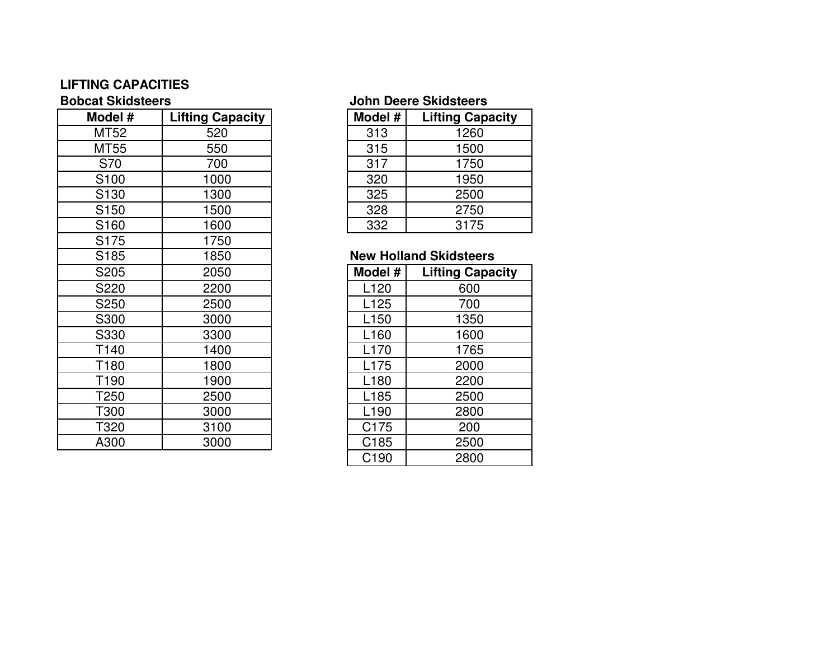# **LIFTING CAPACITIES**

| Model #          | <b>Lifting Capacity</b> | Model #          | <b>Lifting Capacity</b>       |
|------------------|-------------------------|------------------|-------------------------------|
| MT52             | 520                     | 313              | 1260                          |
| MT55             | 550                     | 315              | 1500                          |
| S70              | 700                     | 317              | 1750                          |
| S <sub>100</sub> | 1000                    | 320              | 1950                          |
| S <sub>130</sub> | 1300                    | 325              | 2500                          |
| S <sub>150</sub> | 1500                    | 328              | 2750                          |
| S <sub>160</sub> | 1600                    | 332              | 3175                          |
| S <sub>175</sub> | 1750                    |                  |                               |
| S <sub>185</sub> | 1850                    |                  | <b>New Holland Skidsteers</b> |
| S205             | 2050                    | Model #          | <b>Lifting Capacity</b>       |
| S220             | 2200                    | L <sub>120</sub> | 600                           |
| S250             | 2500                    | L <sub>125</sub> | 700                           |
| S300             | 3000                    | L <sub>150</sub> | 1350                          |
| S330             | 3300                    | L <sub>160</sub> | 1600                          |
| T140             | 1400                    | L <sub>170</sub> | 1765                          |
| T180             | 1800                    | L175             | 2000                          |
| T190             | 1900                    | L <sub>180</sub> | 2200                          |
| T250             | 2500                    | L <sub>185</sub> | 2500                          |
| T300             | 3000                    | L <sub>190</sub> | 2800                          |
| T320             | 3100                    | C175             | 200                           |
|                  |                         |                  |                               |
| A300             | 3000                    | C185             | 2500                          |

### **Bobcat Skidsteers John Deere Skidsteers**

| Model # | <b>Lifting Capacity</b> |
|---------|-------------------------|
| 313     | 1260                    |
| 315     | 1500                    |
| 317     | 1750                    |
| 320     | 1950                    |
| 325     | 2500                    |
| 328     | 2750                    |
| 332     | 3175                    |

### **New Holland Skidsteers**

| 0              | Model #          | <b>Lifting Capacity</b> |
|----------------|------------------|-------------------------|
| $\overline{0}$ | L120             | 600                     |
| $\overline{0}$ | L125             | 700                     |
| $\frac{0}{0}$  | L <sub>150</sub> | 1350                    |
|                | L160             | 1600                    |
| $\overline{0}$ | L170             | 1765                    |
| 0              | L175             | 2000                    |
| $\overline{0}$ | L180             | 2200                    |
| $\overline{0}$ | L <sub>185</sub> | 2500                    |
| $\overline{0}$ | L <sub>190</sub> | 2800                    |
| $\frac{0}{0}$  | C175             | 200                     |
|                | C <sub>185</sub> | 2500                    |
|                | C <sub>190</sub> | 2800                    |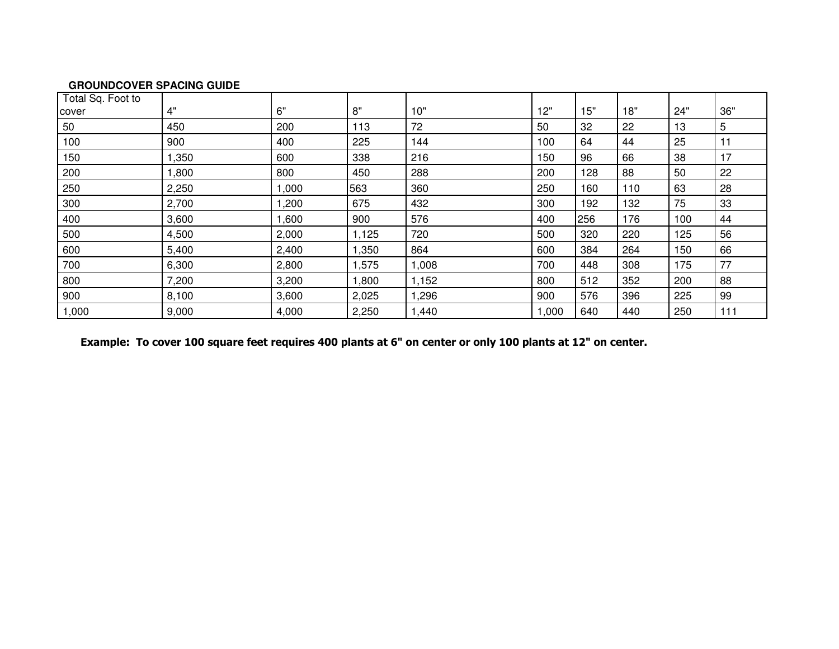#### **GROUNDCOVER SPACING GUIDE**

| Total Sq. Foot to |       |       |       |       |       |     |     |     |     |
|-------------------|-------|-------|-------|-------|-------|-----|-----|-----|-----|
| cover             | 4"    | 6"    | 8"    | 10"   | 12"   | 15" | 18" | 24" | 36" |
| 50                | 450   | 200   | 113   | 72    | 50    | 32  | 22  | 13  | 5   |
| 100               | 900   | 400   | 225   | 144   | 100   | 64  | 44  | 25  | 11  |
| 150               | 1,350 | 600   | 338   | 216   | 150   | 96  | 66  | 38  | 17  |
| 200               | 1,800 | 800   | 450   | 288   | 200   | 128 | 88  | 50  | 22  |
| 250               | 2,250 | 1,000 | 563   | 360   | 250   | 160 | 110 | 63  | 28  |
| 300               | 2,700 | 1,200 | 675   | 432   | 300   | 192 | 132 | 75  | 33  |
| 400               | 3,600 | 1,600 | 900   | 576   | 400   | 256 | 176 | 100 | 44  |
| 500               | 4,500 | 2,000 | 1,125 | 720   | 500   | 320 | 220 | 125 | 56  |
| 600               | 5,400 | 2,400 | 1,350 | 864   | 600   | 384 | 264 | 150 | 66  |
| 700               | 6,300 | 2,800 | 1,575 | 1,008 | 700   | 448 | 308 | 175 | 77  |
| 800               | 7,200 | 3,200 | 1,800 | 1,152 | 800   | 512 | 352 | 200 | 88  |
| 900               | 8,100 | 3,600 | 2,025 | 1,296 | 900   | 576 | 396 | 225 | 99  |
| 1,000             | 9,000 | 4,000 | 2,250 | 1,440 | 1,000 | 640 | 440 | 250 | 111 |

Example: To cover 100 square feet requires 400 plants at 6" on center or only 100 plants at 12" on center.